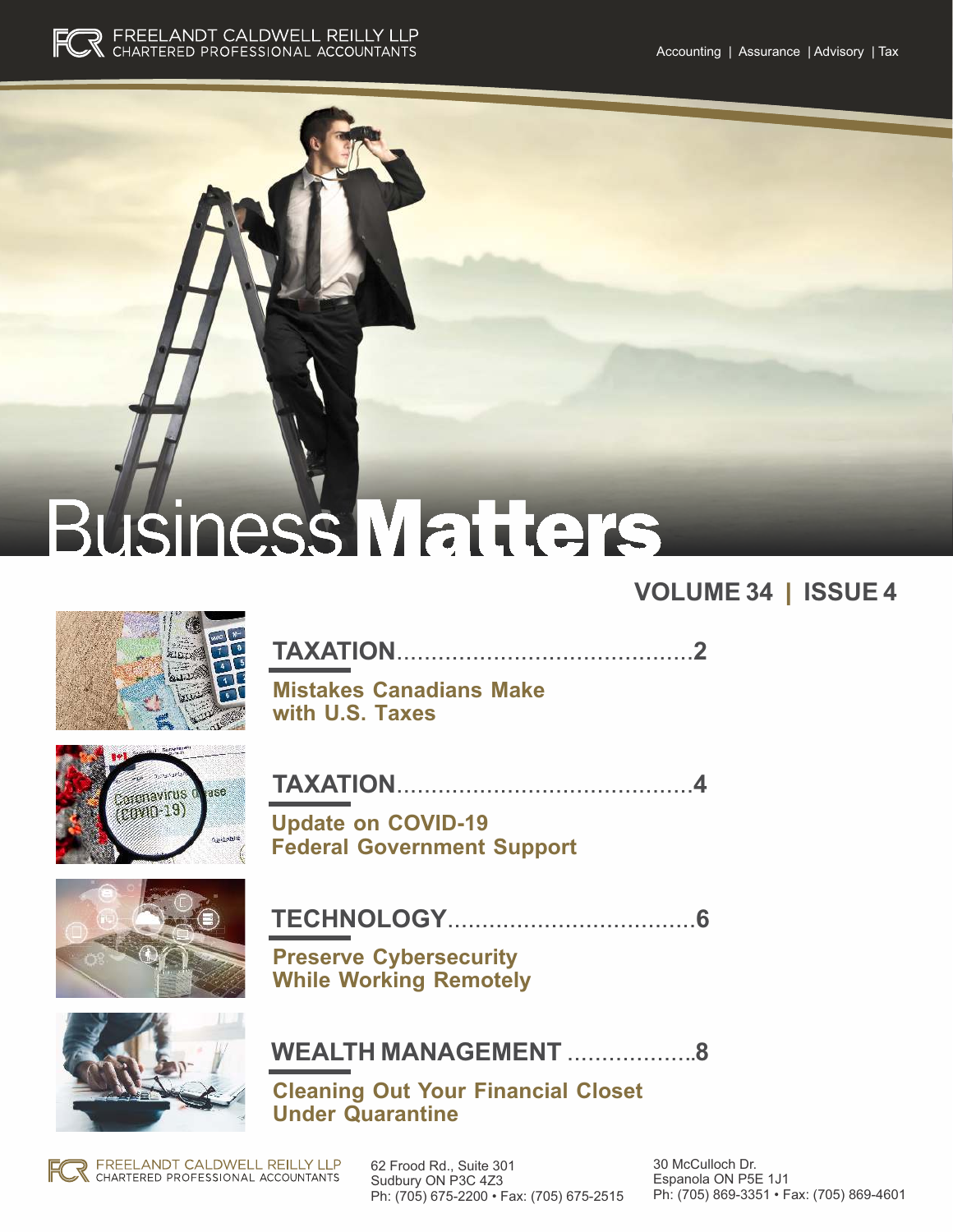



# siness Matters

### **VOLUME 34** | **ISSUE 4**



**TAXATION**...........................................**2**

**Mistakes Canadians Make with U.S. Taxes** 



**TAXATION**...........................................**4**

**Update on COVID-19 Federal Government Support**



**TECHNOLOGY**....................................**6**

**Preserve Cybersecurity While Working Remotely**



**WEALTH MANAGEMENT** ...................**8**

**Cleaning Out Your Financial Closet Under Quarantine**

**CONFIDENCE FOR INSPIRENCE FOR INSPIRENCE SUBJECT AND SUGGESTED SO AND A 1999 AND A 1999 AND A 1999 A 200 A 200 A 200 A 200 A 200 A 200 A 200 A 200 A 200 A 200 A 200 A 200 A 200 A 200 A 200 A 200 A 200 A 200 A 200 A 200 A** 62 Frood Rd., Suite 301 Ph: (705) 675-2200 • Fax: (705) 675-2515

30 McCulloch Dr. Espanola ON P5E 1J1 Ph: (705) 869-3351 • Fax: (705) 869-4601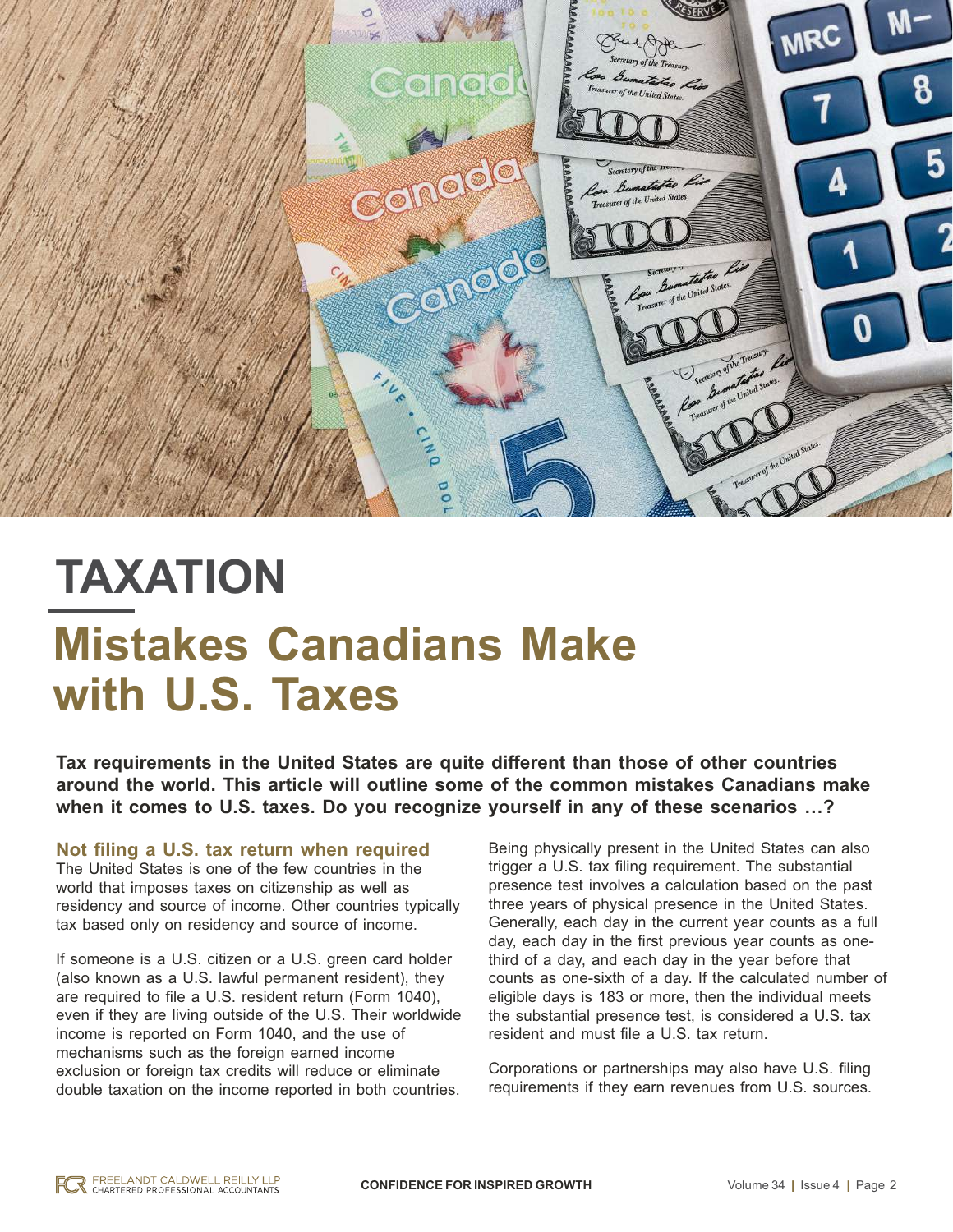

# **TAXATION Mistakes Canadians Make with U.S. Taxes**

**Tax requirements in the United States are quite different than those of other countries around the world. This article will outline some of the common mistakes Canadians make when it comes to U.S. taxes. Do you recognize yourself in any of these scenarios …?**

**Not filing a U.S. tax return when required** The United States is one of the few countries in the world that imposes taxes on citizenship as well as residency and source of income. Other countries typically tax based only on residency and source of income.

If someone is a U.S. citizen or a U.S. green card holder (also known as a U.S. lawful permanent resident), they are required to file a U.S. resident return (Form 1040), even if they are living outside of the U.S. Their worldwide income is reported on Form 1040, and the use of mechanisms such as the foreign earned income exclusion or foreign tax credits will reduce or eliminate double taxation on the income reported in both countries.

Being physically present in the United States can also trigger a U.S. tax filing requirement. The substantial presence test involves a calculation based on the past three years of physical presence in the United States. Generally, each day in the current year counts as a full day, each day in the first previous year counts as onethird of a day, and each day in the year before that counts as one-sixth of a day. If the calculated number of eligible days is 183 or more, then the individual meets the substantial presence test, is considered a U.S. tax resident and must file a U.S. tax return.

Corporations or partnerships may also have U.S. filing requirements if they earn revenues from U.S. sources.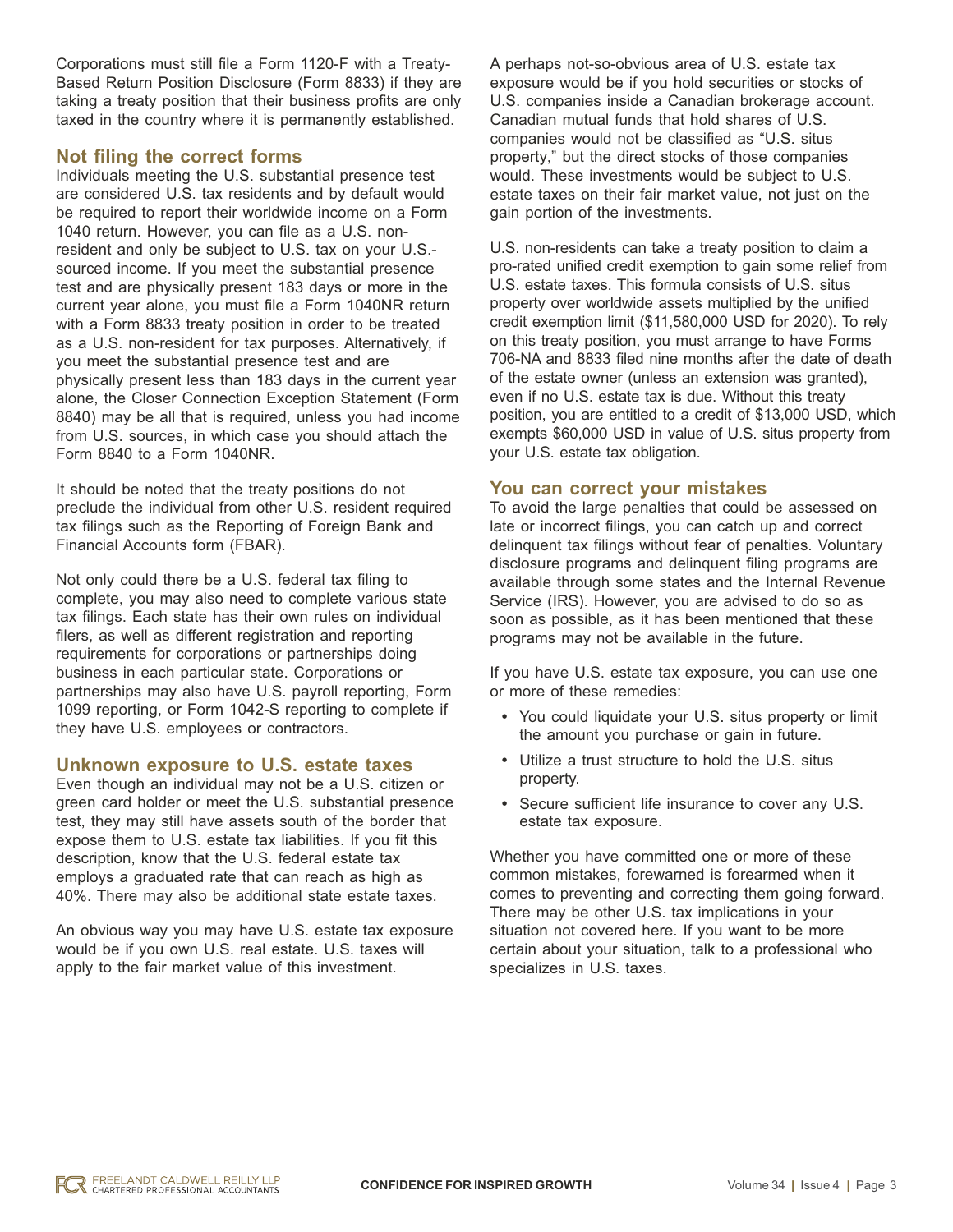Corporations must still file a Form 1120-F with a Treaty-Based Return Position Disclosure (Form 8833) if they are taking a treaty position that their business profits are only taxed in the country where it is permanently established.

### **Not filing the correct forms**

Individuals meeting the U.S. substantial presence test are considered U.S. tax residents and by default would be required to report their worldwide income on a Form 1040 return. However, you can file as a U.S. nonresident and only be subject to U.S. tax on your U.S. sourced income. If you meet the substantial presence test and are physically present 183 days or more in the current year alone, you must file a Form 1040NR return with a Form 8833 treaty position in order to be treated as a U.S. non-resident for tax purposes. Alternatively, if you meet the substantial presence test and are physically present less than 183 days in the current year alone, the Closer Connection Exception Statement (Form 8840) may be all that is required, unless you had income from U.S. sources, in which case you should attach the Form 8840 to a Form 1040NR.

It should be noted that the treaty positions do not preclude the individual from other U.S. resident required tax filings such as the Reporting of Foreign Bank and Financial Accounts form (FBAR).

Not only could there be a U.S. federal tax filing to complete, you may also need to complete various state tax filings. Each state has their own rules on individual filers, as well as different registration and reporting requirements for corporations or partnerships doing business in each particular state. Corporations or partnerships may also have U.S. payroll reporting, Form 1099 reporting, or Form 1042-S reporting to complete if they have U.S. employees or contractors.

### **Unknown exposure to U.S. estate taxes**

Even though an individual may not be a U.S. citizen or green card holder or meet the U.S. substantial presence test, they may still have assets south of the border that expose them to U.S. estate tax liabilities. If you fit this description, know that the U.S. federal estate tax employs a graduated rate that can reach as high as 40%. There may also be additional state estate taxes.

An obvious way you may have U.S. estate tax exposure would be if you own U.S. real estate. U.S. taxes will apply to the fair market value of this investment.

A perhaps not-so-obvious area of U.S. estate tax exposure would be if you hold securities or stocks of U.S. companies inside a Canadian brokerage account. Canadian mutual funds that hold shares of U.S. companies would not be classified as "U.S. situs property," but the direct stocks of those companies would. These investments would be subject to U.S. estate taxes on their fair market value, not just on the gain portion of the investments.

U.S. non-residents can take a treaty position to claim a pro-rated unified credit exemption to gain some relief from U.S. estate taxes. This formula consists of U.S. situs property over worldwide assets multiplied by the unified credit exemption limit (\$11,580,000 USD for 2020). To rely on this treaty position, you must arrange to have Forms 706-NA and 8833 filed nine months after the date of death of the estate owner (unless an extension was granted), even if no U.S. estate tax is due. Without this treaty position, you are entitled to a credit of \$13,000 USD, which exempts \$60,000 USD in value of U.S. situs property from your U.S. estate tax obligation.

### **You can correct your mistakes**

To avoid the large penalties that could be assessed on late or incorrect filings, you can catch up and correct delinquent tax filings without fear of penalties. Voluntary disclosure programs and delinquent filing programs are available through some states and the Internal Revenue Service (IRS). However, you are advised to do so as soon as possible, as it has been mentioned that these programs may not be available in the future.

If you have U.S. estate tax exposure, you can use one or more of these remedies:

- You could liquidate your U.S. situs property or limit the amount you purchase or gain in future.
- Utilize a trust structure to hold the U.S. situs property.
- Secure sufficient life insurance to cover any U.S. estate tax exposure.

Whether you have committed one or more of these common mistakes, forewarned is forearmed when it comes to preventing and correcting them going forward. There may be other U.S. tax implications in your situation not covered here. If you want to be more certain about your situation, talk to a professional who specializes in U.S. taxes.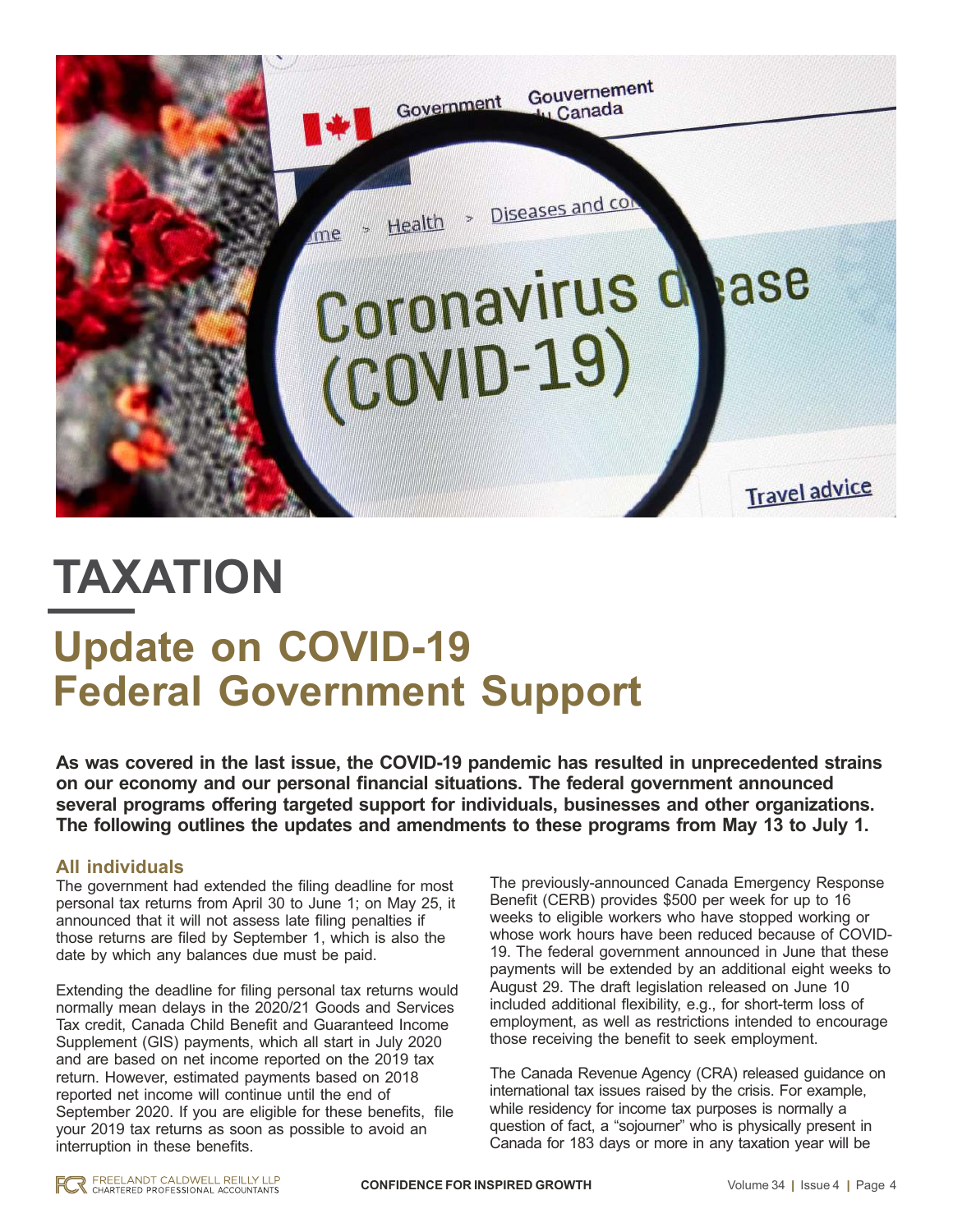

## **TAXATION**

### **Update on COVID-19 Federal Government Support**

**As was covered in the last issue, the COVID-19 pandemic has resulted in unprecedented strains on our economy and our personal financial situations. The federal government announced several programs offering targeted support for individuals, businesses and other organizations. The following outlines the updates and amendments to these programs from May 13 to July 1.**

### **All individuals**

The government had extended the filing deadline for most personal tax returns from April 30 to June 1; on May 25, it announced that it will not assess late filing penalties if those returns are filed by September 1, which is also the date by which any balances due must be paid.

Extending the deadline for filing personal tax returns would normally mean delays in the 2020/21 Goods and Services Tax credit, Canada Child Benefit and Guaranteed Income Supplement (GIS) payments, which all start in July 2020 and are based on net income reported on the 2019 tax return. However, estimated payments based on 2018 reported net income will continue until the end of September 2020. If you are eligible for these benefits, file your 2019 tax returns as soon as possible to avoid an interruption in these benefits.

The previously-announced Canada Emergency Response Benefit (CERB) provides \$500 per week for up to 16 weeks to eligible workers who have stopped working or whose work hours have been reduced because of COVID-19. The federal government announced in June that these payments will be extended by an additional eight weeks to August 29. The draft legislation released on June 10 included additional flexibility, e.g., for short-term loss of employment, as well as restrictions intended to encourage those receiving the benefit to seek employment.

The Canada Revenue Agency (CRA) released guidance on international tax issues raised by the crisis. For example, while residency for income tax purposes is normally a question of fact, a "sojourner" who is physically present in Canada for 183 days or more in any taxation year will be

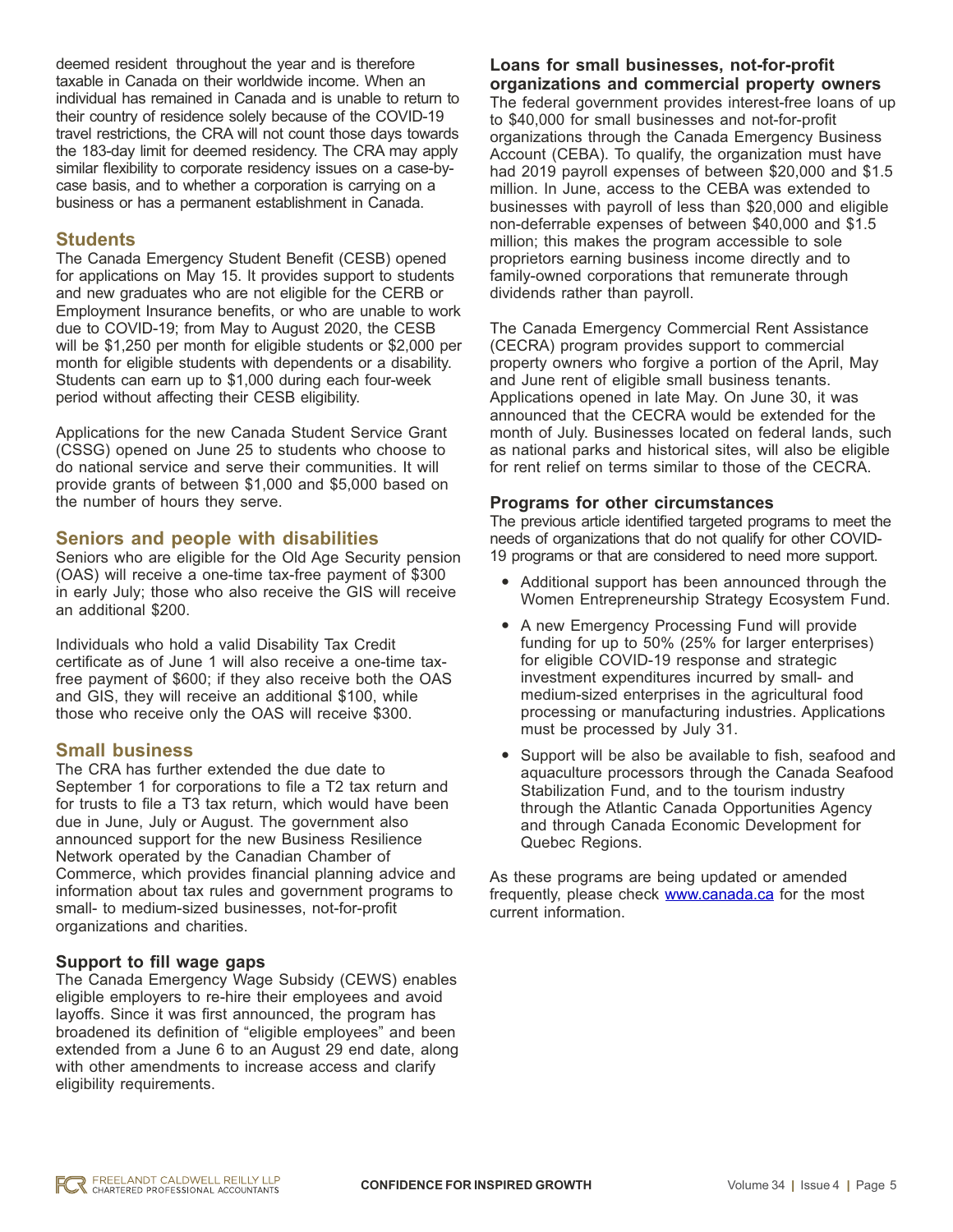deemed resident throughout the year and is therefore taxable in Canada on their worldwide income. When an individual has remained in Canada and is unable to return to their country of residence solely because of the COVID-19 travel restrictions, the CRA will not count those days towards the 183-day limit for deemed residency. The CRA may apply similar flexibility to corporate residency issues on a case-bycase basis, and to whether a corporation is carrying on a business or has a permanent establishment in Canada.

### **Students**

The Canada Emergency Student Benefit (CESB) opened for applications on May 15. It provides support to students and new graduates who are not eligible for the CERB or Employment Insurance benefits, or who are unable to work due to COVID-19; from May to August 2020, the CESB will be \$1,250 per month for eligible students or \$2,000 per month for eligible students with dependents or a disability. Students can earn up to \$1,000 during each four-week period without affecting their CESB eligibility.

Applications for the new Canada Student Service Grant (CSSG) opened on June 25 to students who choose to do national service and serve their communities. It will provide grants of between \$1,000 and \$5,000 based on the number of hours they serve.

### **Seniors and people with disabilities**

Seniors who are eligible for the Old Age Security pension (OAS) will receive a one-time tax-free payment of \$300 in early July; those who also receive the GIS will receive an additional \$200.

Individuals who hold a valid Disability Tax Credit certificate as of June 1 will also receive a one-time taxfree payment of \$600; if they also receive both the OAS and GIS, they will receive an additional \$100, while those who receive only the OAS will receive \$300.

### **Small business**

The CRA has further extended the due date to September 1 for corporations to file a T2 tax return and for trusts to file a T3 tax return, which would have been due in June, July or August. The government also announced support for the new Business Resilience Network operated by the Canadian Chamber of Commerce, which provides financial planning advice and information about tax rules and government programs to small- to medium-sized businesses, not-for-profit organizations and charities.

### **Support to fill wage gaps**

The Canada Emergency Wage Subsidy (CEWS) enables eligible employers to re-hire their employees and avoid layoffs. Since it was first announced, the program has broadened its definition of "eligible employees" and been extended from a June 6 to an August 29 end date, along with other amendments to increase access and clarify eligibility requirements.

### **Loans for small businesses, not-for-profit organizations and commercial property owners**

The federal government provides interest-free loans of up to \$40,000 for small businesses and not-for-profit organizations through the Canada Emergency Business Account (CEBA). To qualify, the organization must have had 2019 payroll expenses of between \$20,000 and \$1.5 million. In June, access to the CEBA was extended to businesses with payroll of less than \$20,000 and eligible non-deferrable expenses of between \$40,000 and \$1.5 million; this makes the program accessible to sole proprietors earning business income directly and to family-owned corporations that remunerate through dividends rather than payroll.

The Canada Emergency Commercial Rent Assistance (CECRA) program provides support to commercial property owners who forgive a portion of the April, May and June rent of eligible small business tenants. Applications opened in late May. On June 30, it was announced that the CECRA would be extended for the month of July. Businesses located on federal lands, such as national parks and historical sites, will also be eligible for rent relief on terms similar to those of the CECRA.

### **Programs for other circumstances**

The previous article identified targeted programs to meet the needs of organizations that do not qualify for other COVID-19 programs or that are considered to need more support.

- Additional support has been announced through the Women Entrepreneurship Strategy Ecosystem Fund.
- A new Emergency Processing Fund will provide funding for up to 50% (25% for larger enterprises) for eligible COVID-19 response and strategic investment expenditures incurred by small- and medium-sized enterprises in the agricultural food processing or manufacturing industries. Applications must be processed by July 31.
- Support will be also be available to fish, seafood and aquaculture processors through the Canada Seafood Stabilization Fund, and to the tourism industry through the Atlantic Canada Opportunities Agency and through Canada Economic Development for Quebec Regions.

As these programs are being updated or amended frequently, please check [www.canada.ca](http://www.canada.ca) for the most current information.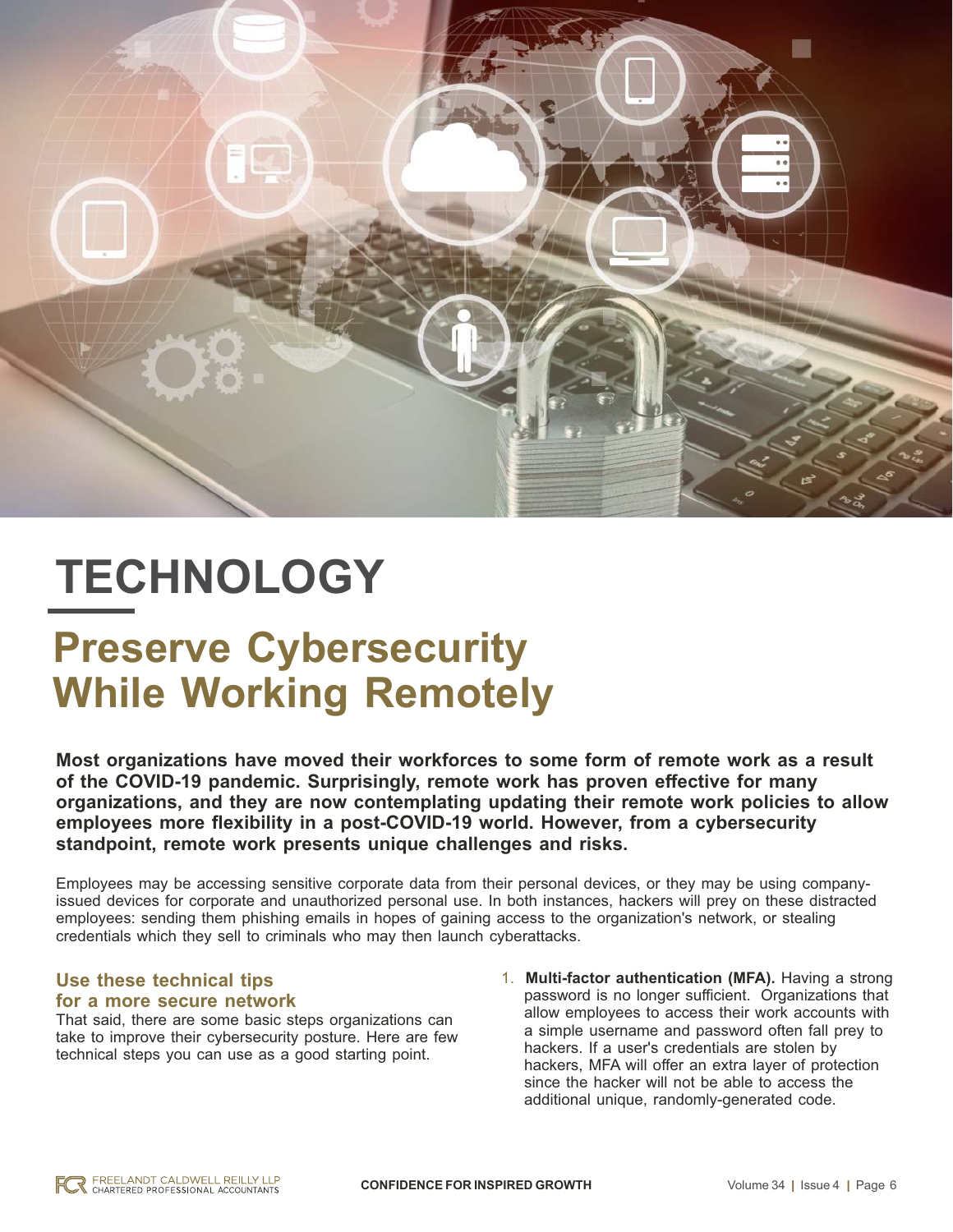

# **TECHNOLOGY**

### **Preserve Cybersecurity While Working Remotely**

**Most organizations have moved their workforces to some form of remote work as a result of the COVID-19 pandemic. Surprisingly, remote work has proven effective for many organizations, and they are now contemplating updating their remote work policies to allow employees more flexibility in a post-COVID-19 world. However, from a cybersecurity standpoint, remote work presents unique challenges and risks.**

Employees may be accessing sensitive corporate data from their personal devices, or they may be using companyissued devices for corporate and unauthorized personal use. In both instances, hackers will prey on these distracted employees: sending them phishing emails in hopes of gaining access to the organization's network, or stealing credentials which they sell to criminals who may then launch cyberattacks.

### **Use these technical tips for a more secure network**

That said, there are some basic steps organizations can take to improve their cybersecurity posture. Here are few technical steps you can use as a good starting point.

1. **Multi-factor authentication (MFA).** Having a strong password is no longer sufficient. Organizations that allow employees to access their work accounts with a simple username and password often fall prey to hackers. If a user's credentials are stolen by hackers, MFA will offer an extra layer of protection since the hacker will not be able to access the additional unique, randomly-generated code.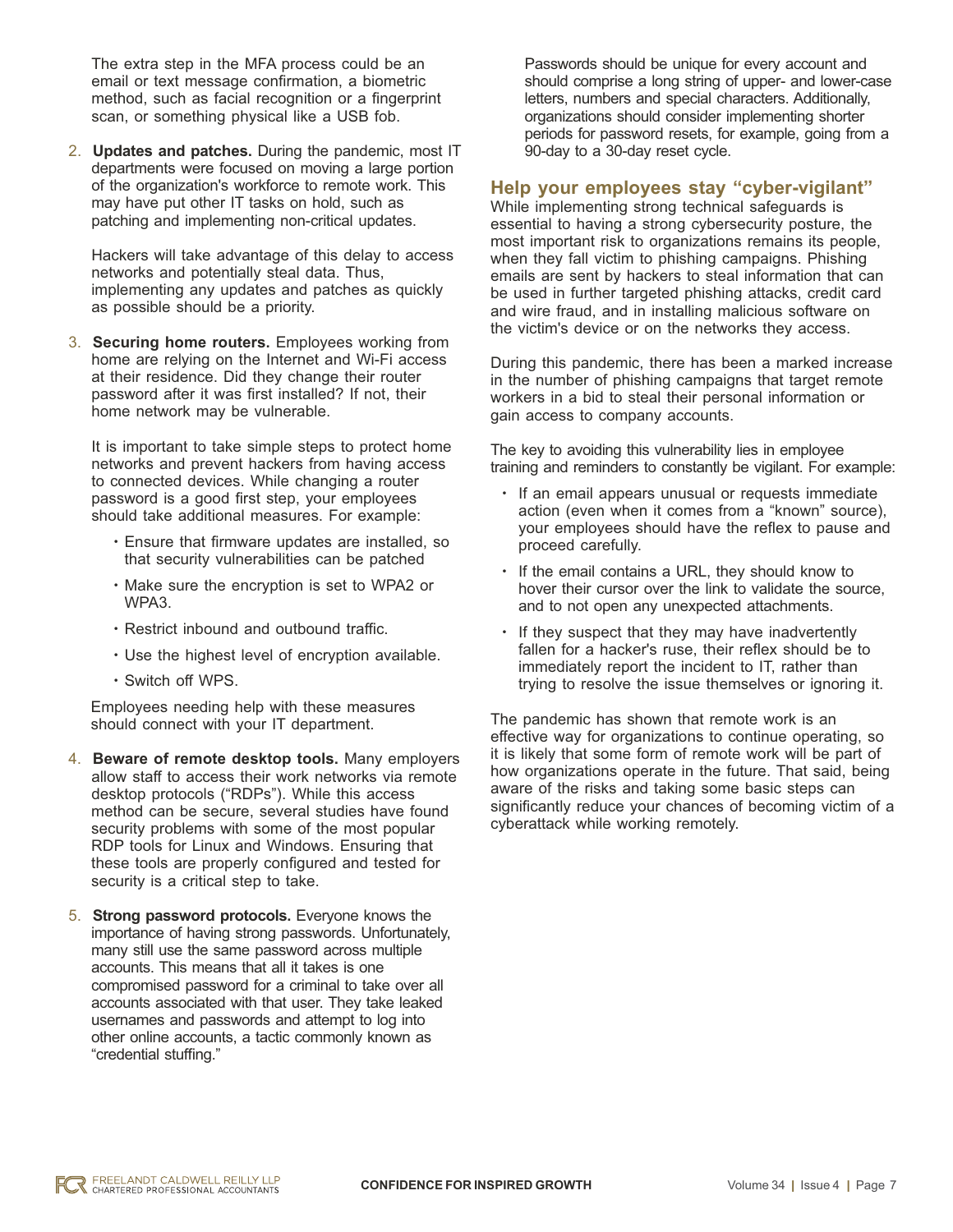The extra step in the MFA process could be an email or text message confirmation, a biometric method, such as facial recognition or a fingerprint scan, or something physical like a USB fob.

2. **Updates and patches.** During the pandemic, most IT departments were focused on moving a large portion of the organization's workforce to remote work. This may have put other IT tasks on hold, such as patching and implementing non-critical updates.

Hackers will take advantage of this delay to access networks and potentially steal data. Thus, implementing any updates and patches as quickly as possible should be a priority.

3. **Securing home routers.** Employees working from home are relying on the Internet and Wi-Fi access at their residence. Did they change their router password after it was first installed? If not, their home network may be vulnerable.

It is important to take simple steps to protect home networks and prevent hackers from having access to connected devices. While changing a router password is a good first step, your employees should take additional measures. For example:

- Ensure that firmware updates are installed, so that security vulnerabilities can be patched
- Make sure the encryption is set to WPA2 or WPA3.
- Restrict inbound and outbound traffic.
- Use the highest level of encryption available.
- Switch off WPS.

Employees needing help with these measures should connect with your IT department.

- 4. **Beware of remote desktop tools.** Many employers allow staff to access their work networks via remote desktop protocols ("RDPs"). While this access method can be secure, several studies have found security problems with some of the most popular RDP tools for Linux and Windows. Ensuring that these tools are properly configured and tested for security is a critical step to take.
- 5. **Strong password protocols.** Everyone knows the importance of having strong passwords. Unfortunately, many still use the same password across multiple accounts. This means that all it takes is one compromised password for a criminal to take over all accounts associated with that user. They take leaked usernames and passwords and attempt to log into other online accounts, a tactic commonly known as "credential stuffing."

Passwords should be unique for every account and should comprise a long string of upper- and lower-case letters, numbers and special characters. Additionally, organizations should consider implementing shorter periods for password resets, for example, going from a 90-day to a 30-day reset cycle.

### **Help your employees stay "cyber-vigilant"**

While implementing strong technical safeguards is essential to having a strong cybersecurity posture, the most important risk to organizations remains its people, when they fall victim to phishing campaigns. Phishing emails are sent by hackers to steal information that can be used in further targeted phishing attacks, credit card and wire fraud, and in installing malicious software on the victim's device or on the networks they access.

During this pandemic, there has been a marked increase in the number of phishing campaigns that target remote workers in a bid to steal their personal information or gain access to company accounts.

The key to avoiding this vulnerability lies in employee training and reminders to constantly be vigilant. For example:

- If an email appears unusual or requests immediate action (even when it comes from a "known" source), your employees should have the reflex to pause and proceed carefully.
- If the email contains a URL, they should know to hover their cursor over the link to validate the source, and to not open any unexpected attachments.
- If they suspect that they may have inadvertently fallen for a hacker's ruse, their reflex should be to immediately report the incident to IT, rather than trying to resolve the issue themselves or ignoring it.

The pandemic has shown that remote work is an effective way for organizations to continue operating, so it is likely that some form of remote work will be part of how organizations operate in the future. That said, being aware of the risks and taking some basic steps can significantly reduce your chances of becoming victim of a cyberattack while working remotely.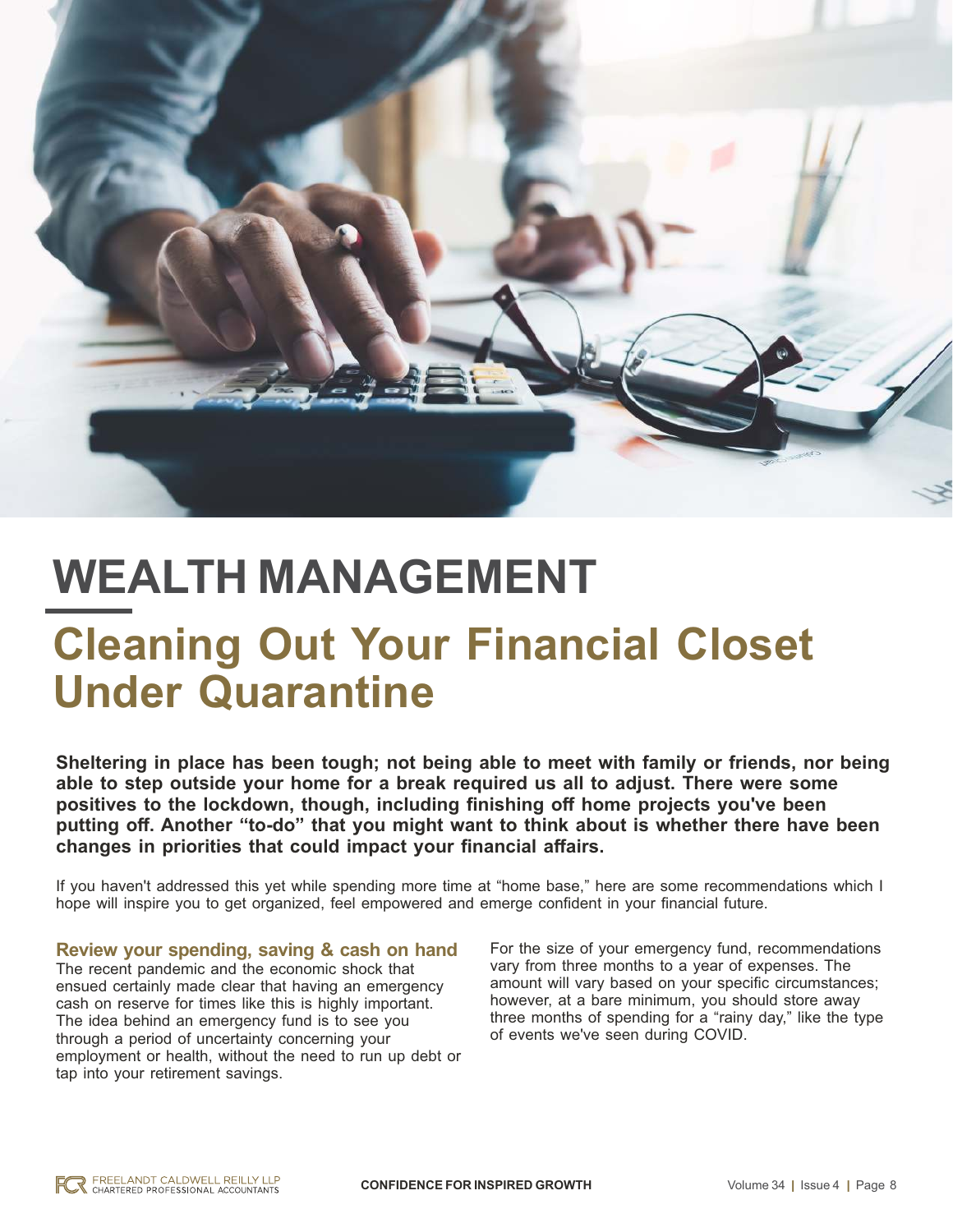

### **WEALTH MANAGEMENT Cleaning Out Your Financial Closet Under Quarantine**

**Sheltering in place has been tough; not being able to meet with family or friends, nor being able to step outside your home for a break required us all to adjust. There were some positives to the lockdown, though, including finishing off home projects you've been putting off. Another "to-do" that you might want to think about is whether there have been changes in priorities that could impact your financial affairs.**

If you haven't addressed this yet while spending more time at "home base," here are some recommendations which I hope will inspire you to get organized, feel empowered and emerge confident in your financial future.

#### **Review your spending, saving & cash on hand** The recent pandemic and the economic shock that ensued certainly made clear that having an emergency cash on reserve for times like this is highly important. The idea behind an emergency fund is to see you through a period of uncertainty concerning your employment or health, without the need to run up debt or tap into your retirement savings.

For the size of your emergency fund, recommendations vary from three months to a year of expenses. The amount will vary based on your specific circumstances; however, at a bare minimum, you should store away three months of spending for a "rainy day," like the type of events we've seen during COVID.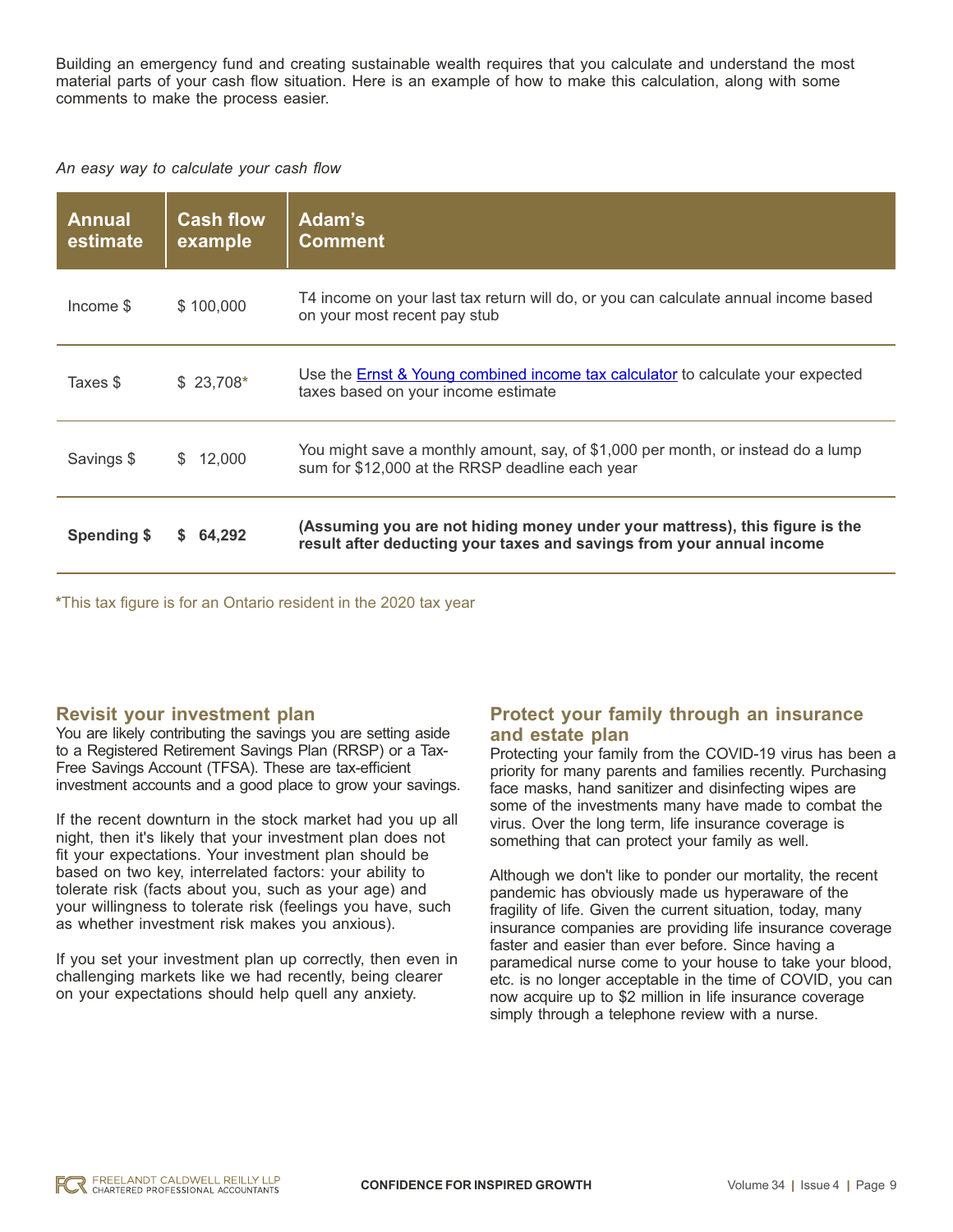Building an emergency fund and creating sustainable wealth requires that you calculate and understand the most material parts of your cash flow situation. Here is an example of how to make this calculation, along with some comments to make the process easier.

*An easy way to calculate your cash flow*

| <b>Annual</b><br>estimate | <b>Cash flow</b><br>example | <b>Adam's</b><br><b>Comment</b>                                                                                                                      |
|---------------------------|-----------------------------|------------------------------------------------------------------------------------------------------------------------------------------------------|
| Income \$                 | \$100,000                   | T4 income on your last tax return will do, or you can calculate annual income based<br>on your most recent pay stub                                  |
| Taxes \$                  | $$23,708*$                  | Use the <b>Ernst &amp; Young combined income tax calculator</b> to calculate your expected<br>taxes based on your income estimate                    |
| Savings \$                | 12,000<br>S.                | You might save a monthly amount, say, of \$1,000 per month, or instead do a lump<br>sum for \$12,000 at the RRSP deadline each year                  |
| Spending \$               | 64.292<br>S.                | (Assuming you are not hiding money under your mattress), this figure is the<br>result after deducting your taxes and savings from your annual income |

**\***This tax figure is for an Ontario resident in the 2020 tax year

### **Revisit your investment plan**

You are likely contributing the savings you are setting aside to a Registered Retirement Savings Plan (RRSP) or a Tax-Free Savings Account (TFSA). These are tax-efficient investment accounts and a good place to grow your savings.

If the recent downturn in the stock market had you up all night, then it's likely that your investment plan does not fit your expectations. Your investment plan should be based on two key, interrelated factors: your ability to tolerate risk (facts about you, such as your age) and your willingness to tolerate risk (feelings you have, such as whether investment risk makes you anxious).

If you set your investment plan up correctly, then even in challenging markets like we had recently, being clearer on your expectations should help quell any anxiety.

### **Protect your family through an insurance and estate plan**

Protecting your family from the COVID-19 virus has been a priority for many parents and families recently. Purchasing face masks, hand sanitizer and disinfecting wipes are some of the investments many have made to combat the virus. Over the long term, life insurance coverage is something that can protect your family as well.

Although we don't like to ponder our mortality, the recent pandemic has obviously made us hyperaware of the fragility of life. Given the current situation, today, many insurance companies are providing life insurance coverage faster and easier than ever before. Since having a paramedical nurse come to your house to take your blood, etc. is no longer acceptable in the time of COVID, you can now acquire up to \$2 million in life insurance coverage simply through a telephone review with a nurse.